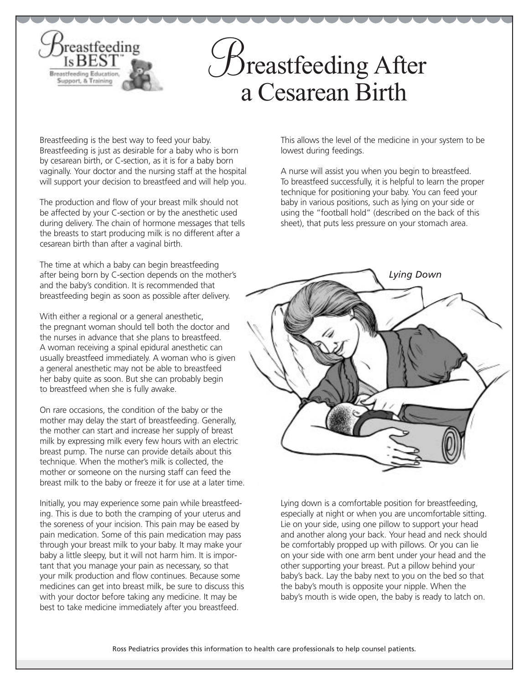## **Breastfeeding After** a Cesarean Birth

Breastfeeding is the best way to feed your baby. Breastfeeding is just as desirable for a baby who is born by cesarean birth, or C-section, as it is for a baby born vaginally. Your doctor and the nursing staff at the hospital will support your decision to breastfeed and will help you.

*reastfeeding* 

**Breastfeeding Educati** upport, & Traini

The production and flow of your breast milk should not be affected by your C-section or by the anesthetic used during delivery. The chain of hormone messages that tells the breasts to start producing milk is no different after a cesarean birth than after a vaginal birth.

The time at which a baby can begin breastfeeding after being born by C-section depends on the mother's and the baby's condition. It is recommended that breastfeeding begin as soon as possible after delivery.

With either a regional or a general anesthetic, the pregnant woman should tell both the doctor and the nurses in advance that she plans to breastfeed. A woman receiving a spinal epidural anesthetic can usually breastfeed immediately. A woman who is given a general anesthetic may not be able to breastfeed her baby quite as soon. But she can probably begin to breastfeed when she is fully awake.

On rare occasions, the condition of the baby or the mother may delay the start of breastfeeding. Generally, the mother can start and increase her supply of breast milk by expressing milk every few hours with an electric breast pump. The nurse can provide details about this technique. When the mother's milk is collected, the mother or someone on the nursing staff can feed the breast milk to the baby or freeze it for use at a later time.

Initially, you may experience some pain while breastfeeding. This is due to both the cramping of your uterus and the soreness of your incision. This pain may be eased by pain medication. Some of this pain medication may pass through your breast milk to your baby. It may make your baby a little sleepy, but it will not harm him. It is important that you manage your pain as necessary, so that your milk production and flow continues. Because some medicines can get into breast milk, be sure to discuss this with your doctor before taking any medicine. It may be best to take medicine immediately after you breastfeed.

This allows the level of the medicine in your system to be lowest during feedings.

A nurse will assist you when you begin to breastfeed. To breastfeed successfully, it is helpful to learn the proper technique for positioning your baby. You can feed your baby in various positions, such as lying on your side or using the "football hold" (described on the back of this sheet), that puts less pressure on your stomach area.



Lying down is a comfortable position for breastfeeding, especially at night or when you are uncomfortable sitting. Lie on your side, using one pillow to support your head and another along your back. Your head and neck should be comfortably propped up with pillows. Or you can lie on your side with one arm bent under your head and the other supporting your breast. Put a pillow behind your baby's back. Lay the baby next to you on the bed so that the baby's mouth is opposite your nipple. When the baby's mouth is wide open, the baby is ready to latch on.